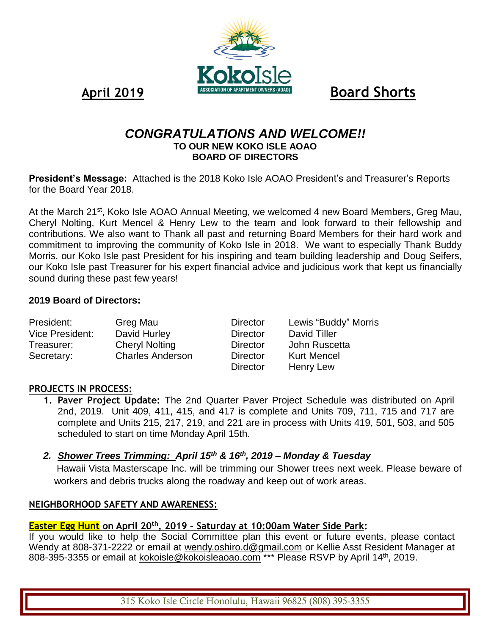April 2019 **Board Shorts** 

# *CONGRATULATIONS AND WELCOME!!* **TO OUR NEW KOKO ISLE AOAO BOARD OF DIRECTORS**

KAIZA

**President's Message:** Attached is the 2018 Koko Isle AOAO President's and Treasurer's Reports for the Board Year 2018.

At the March 21<sup>st</sup>, Koko Isle AOAO Annual Meeting, we welcomed 4 new Board Members, Greg Mau, Cheryl Nolting, Kurt Mencel & Henry Lew to the team and look forward to their fellowship and contributions. We also want to Thank all past and returning Board Members for their hard work and commitment to improving the community of Koko Isle in 2018. We want to especially Thank Buddy Morris, our Koko Isle past President for his inspiring and team building leadership and Doug Seifers, our Koko Isle past Treasurer for his expert financial advice and judicious work that kept us financially sound during these past few years!

#### **2019 Board of Directors:**

| President:      | Greg Mau                | <b>Director</b> | Lewis "Buddy" Morris |
|-----------------|-------------------------|-----------------|----------------------|
| Vice President: | David Hurley            | <b>Director</b> | David Tiller         |
| Treasurer:      | <b>Cheryl Nolting</b>   | Director        | John Ruscetta        |
| Secretary:      | <b>Charles Anderson</b> | Director        | <b>Kurt Mencel</b>   |
|                 |                         | <b>Director</b> | <b>Henry Lew</b>     |

#### **PROJECTS IN PROCESS:**

**1. Paver Project Update:** The 2nd Quarter Paver Project Schedule was distributed on April 2nd, 2019. Unit 409, 411, 415, and 417 is complete and Units 709, 711, 715 and 717 are complete and Units 215, 217, 219, and 221 are in process with Units 419, 501, 503, and 505 scheduled to start on time Monday April 15th.

## *2. Shower Trees Trimming: April 15th & 16th, 2019 – Monday & Tuesday*

 Hawaii Vista Masterscape Inc. will be trimming our Shower trees next week. Please beware of workers and debris trucks along the roadway and keep out of work areas.

#### **NEIGHBORHOOD SAFETY AND AWARENESS:**

#### **Easter Egg Hunt on April 20th, 2019 – Saturday at 10:00am Water Side Park:**

If you would like to help the Social Committee plan this event or future events, please contact Wendy at 808-371-2222 or email at [wendy.oshiro.d@gmail.com](mailto:wendy.oshiro.d@gmail.com) or Kellie Asst Resident Manager at 808-395-3355 or email at [kokoisle@kokoisleaoao.com](mailto:kokoisle@kokoisleaoao.com) \*\*\* Please RSVP by April 14<sup>th</sup>, 2019.

315 Koko Isle Circle Honolulu, Hawaii 96825 (808) 395-3355